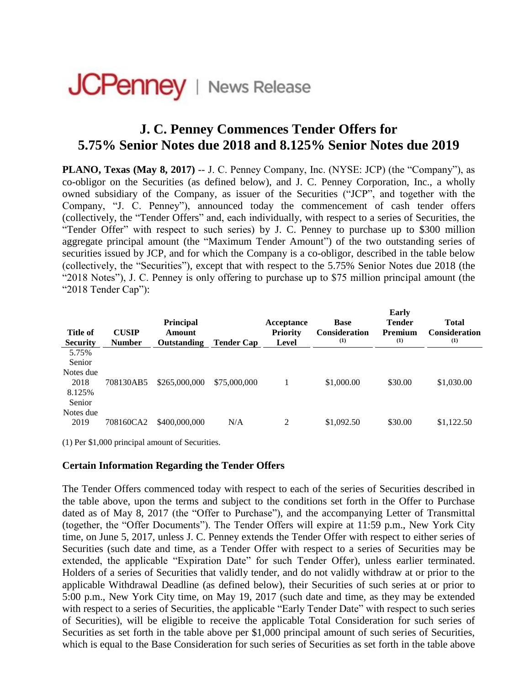## **JCPenney** | News Release

## **J. C. Penney Commences Tender Offers for 5.75% Senior Notes due 2018 and 8.125% Senior Notes due 2019**

**PLANO, Texas (May 8, 2017)** -- J. C. Penney Company, Inc. (NYSE: JCP) (the "Company"), as co-obligor on the Securities (as defined below), and J. C. Penney Corporation, Inc., a wholly owned subsidiary of the Company, as issuer of the Securities ("JCP", and together with the Company, "J. C. Penney"), announced today the commencement of cash tender offers (collectively, the "Tender Offers" and, each individually, with respect to a series of Securities, the "Tender Offer" with respect to such series) by J. C. Penney to purchase up to \$300 million aggregate principal amount (the "Maximum Tender Amount") of the two outstanding series of securities issued by JCP, and for which the Company is a co-obligor, described in the table below (collectively, the "Securities"), except that with respect to the 5.75% Senior Notes due 2018 (the "2018 Notes"), J. C. Penney is only offering to purchase up to \$75 million principal amount (the "2018 Tender Cap"):

| <b>Title of</b><br><b>Security</b>    | <b>CUSIP</b><br><b>Number</b> | <b>Principal</b><br>Amount<br>Outstanding | <b>Tender Cap</b> | Acceptance<br><b>Priority</b><br>Level | <b>Base</b><br><b>Consideration</b><br>(1) | Early<br><b>Tender</b><br>Premium<br>(1) | <b>Total</b><br><b>Consideration</b><br>(1) |
|---------------------------------------|-------------------------------|-------------------------------------------|-------------------|----------------------------------------|--------------------------------------------|------------------------------------------|---------------------------------------------|
| 5.75%<br>Senior                       |                               |                                           |                   |                                        |                                            |                                          |                                             |
| Notes due<br>2018<br>8.125%<br>Senior | 708130AB5                     | \$265,000,000                             | \$75,000,000      |                                        | \$1,000.00                                 | \$30.00                                  | \$1,030.00                                  |
| Notes due<br>2019                     | 708160CA2                     | \$400,000,000                             | N/A               | 2                                      | \$1,092.50                                 | \$30.00                                  | \$1,122.50                                  |

(1) Per \$1,000 principal amount of Securities.

## **Certain Information Regarding the Tender Offers**

The Tender Offers commenced today with respect to each of the series of Securities described in the table above, upon the terms and subject to the conditions set forth in the Offer to Purchase dated as of May 8, 2017 (the "Offer to Purchase"), and the accompanying Letter of Transmittal (together, the "Offer Documents"). The Tender Offers will expire at 11:59 p.m., New York City time, on June 5, 2017, unless J. C. Penney extends the Tender Offer with respect to either series of Securities (such date and time, as a Tender Offer with respect to a series of Securities may be extended, the applicable "Expiration Date" for such Tender Offer), unless earlier terminated. Holders of a series of Securities that validly tender, and do not validly withdraw at or prior to the applicable Withdrawal Deadline (as defined below), their Securities of such series at or prior to 5:00 p.m., New York City time, on May 19, 2017 (such date and time, as they may be extended with respect to a series of Securities, the applicable "Early Tender Date" with respect to such series of Securities), will be eligible to receive the applicable Total Consideration for such series of Securities as set forth in the table above per \$1,000 principal amount of such series of Securities, which is equal to the Base Consideration for such series of Securities as set forth in the table above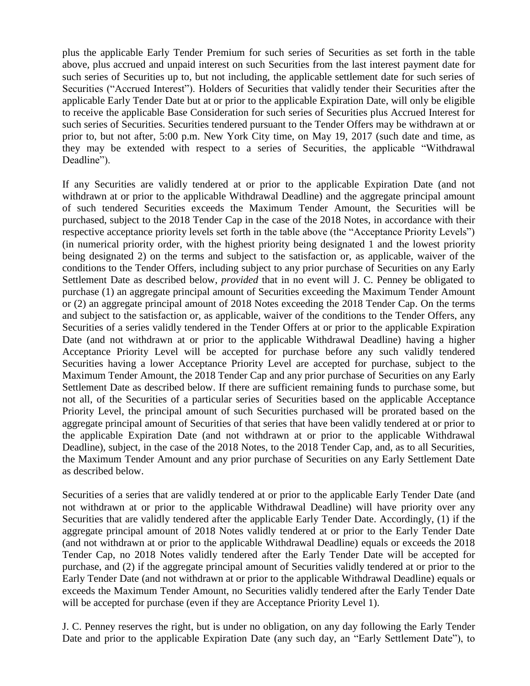plus the applicable Early Tender Premium for such series of Securities as set forth in the table above, plus accrued and unpaid interest on such Securities from the last interest payment date for such series of Securities up to, but not including, the applicable settlement date for such series of Securities ("Accrued Interest"). Holders of Securities that validly tender their Securities after the applicable Early Tender Date but at or prior to the applicable Expiration Date, will only be eligible to receive the applicable Base Consideration for such series of Securities plus Accrued Interest for such series of Securities. Securities tendered pursuant to the Tender Offers may be withdrawn at or prior to, but not after, 5:00 p.m. New York City time, on May 19, 2017 (such date and time, as they may be extended with respect to a series of Securities, the applicable "Withdrawal Deadline").

If any Securities are validly tendered at or prior to the applicable Expiration Date (and not withdrawn at or prior to the applicable Withdrawal Deadline) and the aggregate principal amount of such tendered Securities exceeds the Maximum Tender Amount, the Securities will be purchased, subject to the 2018 Tender Cap in the case of the 2018 Notes, in accordance with their respective acceptance priority levels set forth in the table above (the "Acceptance Priority Levels") (in numerical priority order, with the highest priority being designated 1 and the lowest priority being designated 2) on the terms and subject to the satisfaction or, as applicable, waiver of the conditions to the Tender Offers, including subject to any prior purchase of Securities on any Early Settlement Date as described below, *provided* that in no event will J. C. Penney be obligated to purchase (1) an aggregate principal amount of Securities exceeding the Maximum Tender Amount or (2) an aggregate principal amount of 2018 Notes exceeding the 2018 Tender Cap. On the terms and subject to the satisfaction or, as applicable, waiver of the conditions to the Tender Offers, any Securities of a series validly tendered in the Tender Offers at or prior to the applicable Expiration Date (and not withdrawn at or prior to the applicable Withdrawal Deadline) having a higher Acceptance Priority Level will be accepted for purchase before any such validly tendered Securities having a lower Acceptance Priority Level are accepted for purchase, subject to the Maximum Tender Amount, the 2018 Tender Cap and any prior purchase of Securities on any Early Settlement Date as described below. If there are sufficient remaining funds to purchase some, but not all, of the Securities of a particular series of Securities based on the applicable Acceptance Priority Level, the principal amount of such Securities purchased will be prorated based on the aggregate principal amount of Securities of that series that have been validly tendered at or prior to the applicable Expiration Date (and not withdrawn at or prior to the applicable Withdrawal Deadline), subject, in the case of the 2018 Notes, to the 2018 Tender Cap, and, as to all Securities, the Maximum Tender Amount and any prior purchase of Securities on any Early Settlement Date as described below.

Securities of a series that are validly tendered at or prior to the applicable Early Tender Date (and not withdrawn at or prior to the applicable Withdrawal Deadline) will have priority over any Securities that are validly tendered after the applicable Early Tender Date. Accordingly, (1) if the aggregate principal amount of 2018 Notes validly tendered at or prior to the Early Tender Date (and not withdrawn at or prior to the applicable Withdrawal Deadline) equals or exceeds the 2018 Tender Cap, no 2018 Notes validly tendered after the Early Tender Date will be accepted for purchase, and (2) if the aggregate principal amount of Securities validly tendered at or prior to the Early Tender Date (and not withdrawn at or prior to the applicable Withdrawal Deadline) equals or exceeds the Maximum Tender Amount, no Securities validly tendered after the Early Tender Date will be accepted for purchase (even if they are Acceptance Priority Level 1).

J. C. Penney reserves the right, but is under no obligation, on any day following the Early Tender Date and prior to the applicable Expiration Date (any such day, an "Early Settlement Date"), to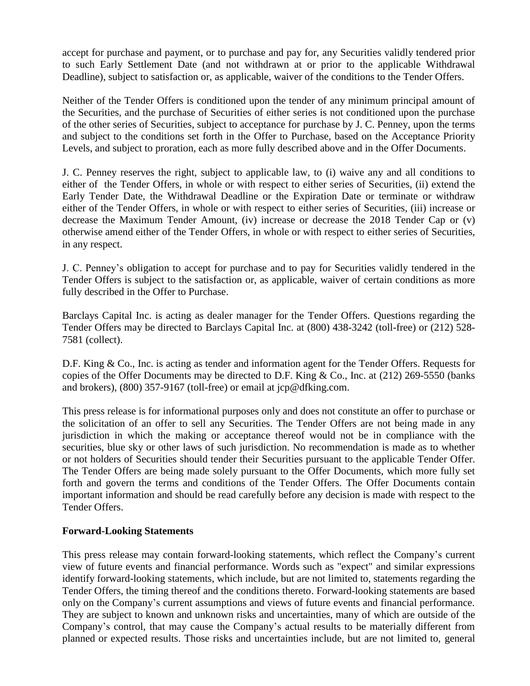accept for purchase and payment, or to purchase and pay for, any Securities validly tendered prior to such Early Settlement Date (and not withdrawn at or prior to the applicable Withdrawal Deadline), subject to satisfaction or, as applicable, waiver of the conditions to the Tender Offers.

Neither of the Tender Offers is conditioned upon the tender of any minimum principal amount of the Securities, and the purchase of Securities of either series is not conditioned upon the purchase of the other series of Securities, subject to acceptance for purchase by J. C. Penney, upon the terms and subject to the conditions set forth in the Offer to Purchase, based on the Acceptance Priority Levels, and subject to proration, each as more fully described above and in the Offer Documents.

J. C. Penney reserves the right, subject to applicable law, to (i) waive any and all conditions to either of the Tender Offers, in whole or with respect to either series of Securities, (ii) extend the Early Tender Date, the Withdrawal Deadline or the Expiration Date or terminate or withdraw either of the Tender Offers, in whole or with respect to either series of Securities, (iii) increase or decrease the Maximum Tender Amount, (iv) increase or decrease the 2018 Tender Cap or (v) otherwise amend either of the Tender Offers, in whole or with respect to either series of Securities, in any respect.

J. C. Penney's obligation to accept for purchase and to pay for Securities validly tendered in the Tender Offers is subject to the satisfaction or, as applicable, waiver of certain conditions as more fully described in the Offer to Purchase.

Barclays Capital Inc. is acting as dealer manager for the Tender Offers. Questions regarding the Tender Offers may be directed to Barclays Capital Inc. at (800) 438-3242 (toll-free) or (212) 528- 7581 (collect).

D.F. King & Co., Inc. is acting as tender and information agent for the Tender Offers. Requests for copies of the Offer Documents may be directed to D.F. King & Co., Inc. at (212) 269-5550 (banks and brokers), (800) 357-9167 (toll-free) or email at jcp@dfking.com.

This press release is for informational purposes only and does not constitute an offer to purchase or the solicitation of an offer to sell any Securities. The Tender Offers are not being made in any jurisdiction in which the making or acceptance thereof would not be in compliance with the securities, blue sky or other laws of such jurisdiction. No recommendation is made as to whether or not holders of Securities should tender their Securities pursuant to the applicable Tender Offer. The Tender Offers are being made solely pursuant to the Offer Documents, which more fully set forth and govern the terms and conditions of the Tender Offers. The Offer Documents contain important information and should be read carefully before any decision is made with respect to the Tender Offers.

## **Forward-Looking Statements**

This press release may contain forward-looking statements, which reflect the Company's current view of future events and financial performance. Words such as "expect" and similar expressions identify forward-looking statements, which include, but are not limited to, statements regarding the Tender Offers, the timing thereof and the conditions thereto. Forward-looking statements are based only on the Company's current assumptions and views of future events and financial performance. They are subject to known and unknown risks and uncertainties, many of which are outside of the Company's control, that may cause the Company's actual results to be materially different from planned or expected results. Those risks and uncertainties include, but are not limited to, general